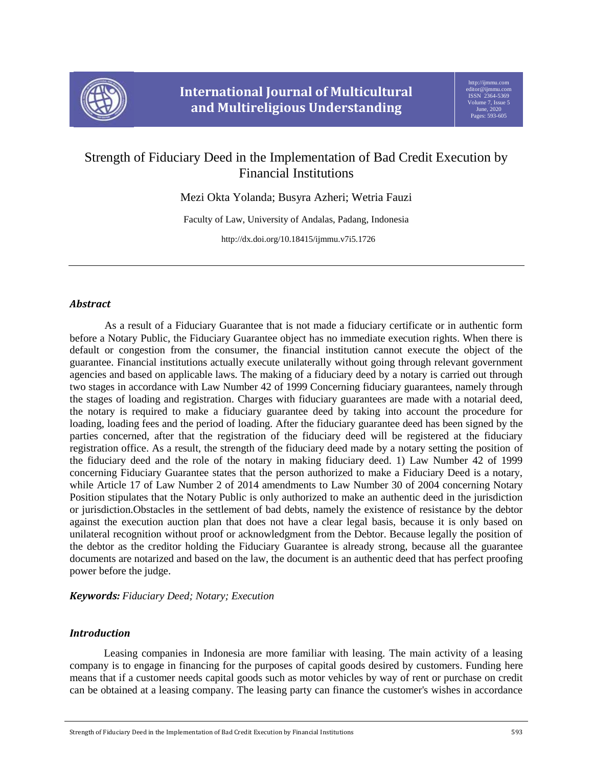

# Strength of Fiduciary Deed in the Implementation of Bad Credit Execution by Financial Institutions

Mezi Okta Yolanda; Busyra Azheri; Wetria Fauzi

Faculty of Law, University of Andalas, Padang, Indonesia

http://dx.doi.org/10.18415/ijmmu.v7i5.1726

# *Abstract*

As a result of a Fiduciary Guarantee that is not made a fiduciary certificate or in authentic form before a Notary Public, the Fiduciary Guarantee object has no immediate execution rights. When there is default or congestion from the consumer, the financial institution cannot execute the object of the guarantee. Financial institutions actually execute unilaterally without going through relevant government agencies and based on applicable laws. The making of a fiduciary deed by a notary is carried out through two stages in accordance with Law Number 42 of 1999 Concerning fiduciary guarantees, namely through the stages of loading and registration. Charges with fiduciary guarantees are made with a notarial deed, the notary is required to make a fiduciary guarantee deed by taking into account the procedure for loading, loading fees and the period of loading. After the fiduciary guarantee deed has been signed by the parties concerned, after that the registration of the fiduciary deed will be registered at the fiduciary registration office. As a result, the strength of the fiduciary deed made by a notary setting the position of the fiduciary deed and the role of the notary in making fiduciary deed. 1) Law Number 42 of 1999 concerning Fiduciary Guarantee states that the person authorized to make a Fiduciary Deed is a notary, while Article 17 of Law Number 2 of 2014 amendments to Law Number 30 of 2004 concerning Notary Position stipulates that the Notary Public is only authorized to make an authentic deed in the jurisdiction or jurisdiction.Obstacles in the settlement of bad debts, namely the existence of resistance by the debtor against the execution auction plan that does not have a clear legal basis, because it is only based on unilateral recognition without proof or acknowledgment from the Debtor. Because legally the position of the debtor as the creditor holding the Fiduciary Guarantee is already strong, because all the guarantee documents are notarized and based on the law, the document is an authentic deed that has perfect proofing power before the judge.

### *Keywords: Fiduciary Deed; Notary; Execution*

# *Introduction*

Leasing companies in Indonesia are more familiar with leasing. The main activity of a leasing company is to engage in financing for the purposes of capital goods desired by customers. Funding here means that if a customer needs capital goods such as motor vehicles by way of rent or purchase on credit can be obtained at a leasing company. The leasing party can finance the customer's wishes in accordance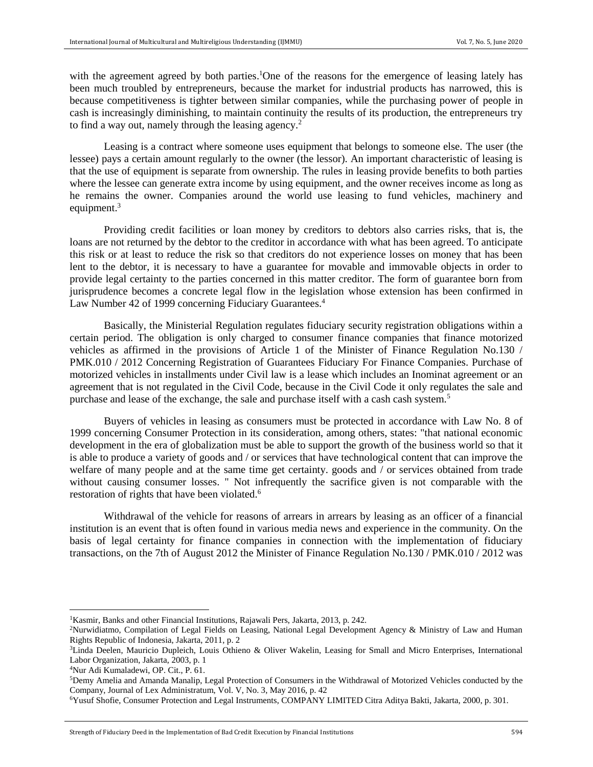with the agreement agreed by both parties.<sup>1</sup>One of the reasons for the emergence of leasing lately has been much troubled by entrepreneurs, because the market for industrial products has narrowed, this is because competitiveness is tighter between similar companies, while the purchasing power of people in cash is increasingly diminishing, to maintain continuity the results of its production, the entrepreneurs try to find a way out, namely through the leasing agency.<sup>2</sup>

Leasing is a contract where someone uses equipment that belongs to someone else. The user (the lessee) pays a certain amount regularly to the owner (the lessor). An important characteristic of leasing is that the use of equipment is separate from ownership. The rules in leasing provide benefits to both parties where the lessee can generate extra income by using equipment, and the owner receives income as long as he remains the owner. Companies around the world use leasing to fund vehicles, machinery and equipment.<sup>3</sup>

Providing credit facilities or loan money by creditors to debtors also carries risks, that is, the loans are not returned by the debtor to the creditor in accordance with what has been agreed. To anticipate this risk or at least to reduce the risk so that creditors do not experience losses on money that has been lent to the debtor, it is necessary to have a guarantee for movable and immovable objects in order to provide legal certainty to the parties concerned in this matter creditor. The form of guarantee born from jurisprudence becomes a concrete legal flow in the legislation whose extension has been confirmed in Law Number 42 of 1999 concerning Fiduciary Guarantees.<sup>4</sup>

Basically, the Ministerial Regulation regulates fiduciary security registration obligations within a certain period. The obligation is only charged to consumer finance companies that finance motorized vehicles as affirmed in the provisions of Article 1 of the Minister of Finance Regulation No.130 / PMK.010 / 2012 Concerning Registration of Guarantees Fiduciary For Finance Companies. Purchase of motorized vehicles in installments under Civil law is a lease which includes an Inominat agreement or an agreement that is not regulated in the Civil Code, because in the Civil Code it only regulates the sale and purchase and lease of the exchange, the sale and purchase itself with a cash cash system.<sup>5</sup>

Buyers of vehicles in leasing as consumers must be protected in accordance with Law No. 8 of 1999 concerning Consumer Protection in its consideration, among others, states: "that national economic development in the era of globalization must be able to support the growth of the business world so that it is able to produce a variety of goods and / or services that have technological content that can improve the welfare of many people and at the same time get certainty. goods and / or services obtained from trade without causing consumer losses. " Not infrequently the sacrifice given is not comparable with the restoration of rights that have been violated.<sup>6</sup>

Withdrawal of the vehicle for reasons of arrears in arrears by leasing as an officer of a financial institution is an event that is often found in various media news and experience in the community. On the basis of legal certainty for finance companies in connection with the implementation of fiduciary transactions, on the 7th of August 2012 the Minister of Finance Regulation No.130 / PMK.010 / 2012 was

 $\overline{\phantom{a}}$ 

<sup>&</sup>lt;sup>1</sup>Kasmir, Banks and other Financial Institutions, Rajawali Pers, Jakarta, 2013, p. 242.

<sup>2</sup>Nurwidiatmo, Compilation of Legal Fields on Leasing, National Legal Development Agency & Ministry of Law and Human Rights Republic of Indonesia, Jakarta, 2011, p. 2

<sup>3</sup>Linda Deelen, Mauricio Dupleich, Louis Othieno & Oliver Wakelin, Leasing for Small and Micro Enterprises, International Labor Organization, Jakarta, 2003, p. 1

<sup>4</sup>Nur Adi Kumaladewi, OP. Cit., P. 61.

<sup>5</sup>Demy Amelia and Amanda Manalip, Legal Protection of Consumers in the Withdrawal of Motorized Vehicles conducted by the Company, Journal of Lex Administratum, Vol. V, No. 3, May 2016, p. 42

<sup>6</sup>Yusuf Shofie, Consumer Protection and Legal Instruments, COMPANY LIMITED Citra Aditya Bakti, Jakarta, 2000, p. 301.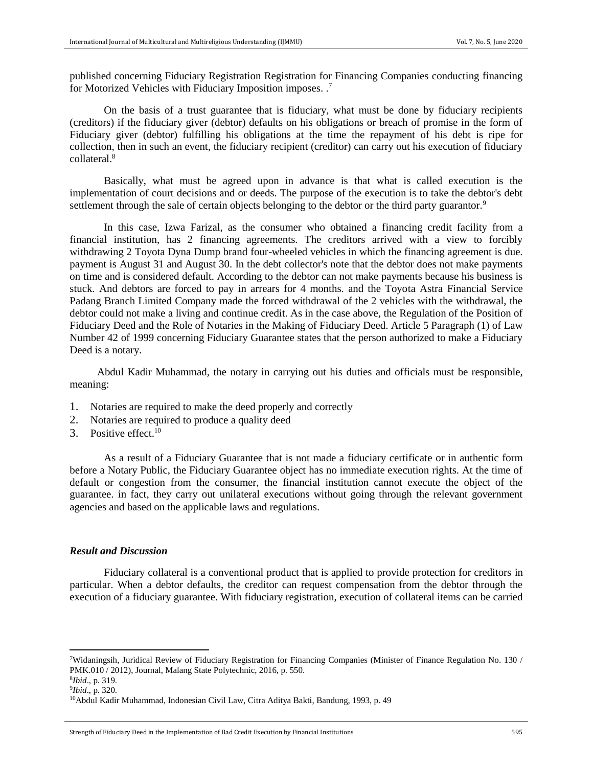published concerning Fiduciary Registration Registration for Financing Companies conducting financing for Motorized Vehicles with Fiduciary Imposition imposes. .<sup>7</sup>

On the basis of a trust guarantee that is fiduciary, what must be done by fiduciary recipients (creditors) if the fiduciary giver (debtor) defaults on his obligations or breach of promise in the form of Fiduciary giver (debtor) fulfilling his obligations at the time the repayment of his debt is ripe for collection, then in such an event, the fiduciary recipient (creditor) can carry out his execution of fiduciary collateral.<sup>8</sup>

Basically, what must be agreed upon in advance is that what is called execution is the implementation of court decisions and or deeds. The purpose of the execution is to take the debtor's debt settlement through the sale of certain objects belonging to the debtor or the third party guarantor.<sup>9</sup>

In this case, Izwa Farizal, as the consumer who obtained a financing credit facility from a financial institution, has 2 financing agreements. The creditors arrived with a view to forcibly withdrawing 2 Toyota Dyna Dump brand four-wheeled vehicles in which the financing agreement is due. payment is August 31 and August 30. In the debt collector's note that the debtor does not make payments on time and is considered default. According to the debtor can not make payments because his business is stuck. And debtors are forced to pay in arrears for 4 months. and the Toyota Astra Financial Service Padang Branch Limited Company made the forced withdrawal of the 2 vehicles with the withdrawal, the debtor could not make a living and continue credit. As in the case above, the Regulation of the Position of Fiduciary Deed and the Role of Notaries in the Making of Fiduciary Deed. Article 5 Paragraph (1) of Law Number 42 of 1999 concerning Fiduciary Guarantee states that the person authorized to make a Fiduciary Deed is a notary.

Abdul Kadir Muhammad, the notary in carrying out his duties and officials must be responsible, meaning:

- 1. Notaries are required to make the deed properly and correctly
- 2. Notaries are required to produce a quality deed
- 3. Positive effect  $10$

As a result of a Fiduciary Guarantee that is not made a fiduciary certificate or in authentic form before a Notary Public, the Fiduciary Guarantee object has no immediate execution rights. At the time of default or congestion from the consumer, the financial institution cannot execute the object of the guarantee. in fact, they carry out unilateral executions without going through the relevant government agencies and based on the applicable laws and regulations.

#### *Result and Discussion*

Fiduciary collateral is a conventional product that is applied to provide protection for creditors in particular. When a debtor defaults, the creditor can request compensation from the debtor through the execution of a fiduciary guarantee. With fiduciary registration, execution of collateral items can be carried

<sup>7</sup>Widaningsih, Juridical Review of Fiduciary Registration for Financing Companies (Minister of Finance Regulation No. 130 / PMK.010 / 2012), Journal, Malang State Polytechnic, 2016, p. 550.

<sup>8</sup> *Ibid*., p. 319. 9 *Ibid*., p. 320.

<sup>10</sup>Abdul Kadir Muhammad, Indonesian Civil Law, Citra Aditya Bakti, Bandung, 1993, p. 49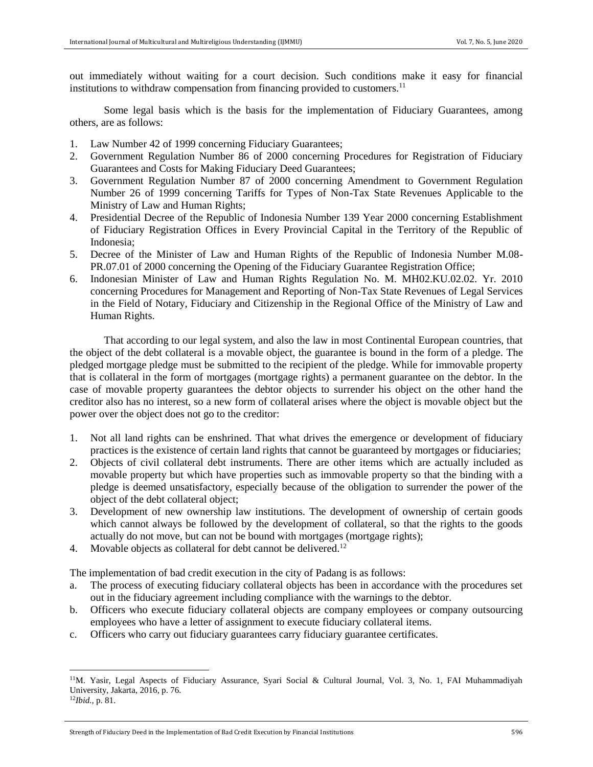out immediately without waiting for a court decision. Such conditions make it easy for financial institutions to withdraw compensation from financing provided to customers.<sup>11</sup>

Some legal basis which is the basis for the implementation of Fiduciary Guarantees, among others, are as follows:

- 1. Law Number 42 of 1999 concerning Fiduciary Guarantees;
- 2. Government Regulation Number 86 of 2000 concerning Procedures for Registration of Fiduciary Guarantees and Costs for Making Fiduciary Deed Guarantees;
- 3. Government Regulation Number 87 of 2000 concerning Amendment to Government Regulation Number 26 of 1999 concerning Tariffs for Types of Non-Tax State Revenues Applicable to the Ministry of Law and Human Rights;
- 4. Presidential Decree of the Republic of Indonesia Number 139 Year 2000 concerning Establishment of Fiduciary Registration Offices in Every Provincial Capital in the Territory of the Republic of Indonesia;
- 5. Decree of the Minister of Law and Human Rights of the Republic of Indonesia Number M.08- PR.07.01 of 2000 concerning the Opening of the Fiduciary Guarantee Registration Office;
- 6. Indonesian Minister of Law and Human Rights Regulation No. M. MH02.KU.02.02. Yr. 2010 concerning Procedures for Management and Reporting of Non-Tax State Revenues of Legal Services in the Field of Notary, Fiduciary and Citizenship in the Regional Office of the Ministry of Law and Human Rights.

That according to our legal system, and also the law in most Continental European countries, that the object of the debt collateral is a movable object, the guarantee is bound in the form of a pledge. The pledged mortgage pledge must be submitted to the recipient of the pledge. While for immovable property that is collateral in the form of mortgages (mortgage rights) a permanent guarantee on the debtor. In the case of movable property guarantees the debtor objects to surrender his object on the other hand the creditor also has no interest, so a new form of collateral arises where the object is movable object but the power over the object does not go to the creditor:

- 1. Not all land rights can be enshrined. That what drives the emergence or development of fiduciary practices is the existence of certain land rights that cannot be guaranteed by mortgages or fiduciaries;
- 2. Objects of civil collateral debt instruments. There are other items which are actually included as movable property but which have properties such as immovable property so that the binding with a pledge is deemed unsatisfactory, especially because of the obligation to surrender the power of the object of the debt collateral object;
- 3. Development of new ownership law institutions. The development of ownership of certain goods which cannot always be followed by the development of collateral, so that the rights to the goods actually do not move, but can not be bound with mortgages (mortgage rights);
- 4. Movable objects as collateral for debt cannot be delivered.<sup>12</sup>

The implementation of bad credit execution in the city of Padang is as follows:

- a. The process of executing fiduciary collateral objects has been in accordance with the procedures set out in the fiduciary agreement including compliance with the warnings to the debtor.
- b. Officers who execute fiduciary collateral objects are company employees or company outsourcing employees who have a letter of assignment to execute fiduciary collateral items.
- c. Officers who carry out fiduciary guarantees carry fiduciary guarantee certificates.

 $\overline{\phantom{a}}$ 

Strength of Fiduciary Deed in the Implementation of Bad Credit Execution by Financial Institutions 596

<sup>11</sup>M. Yasir, Legal Aspects of Fiduciary Assurance, Syari Social & Cultural Journal, Vol. 3, No. 1, FAI Muhammadiyah University, Jakarta, 2016, p. 76.

<sup>12</sup>*Ibid.*, p. 81.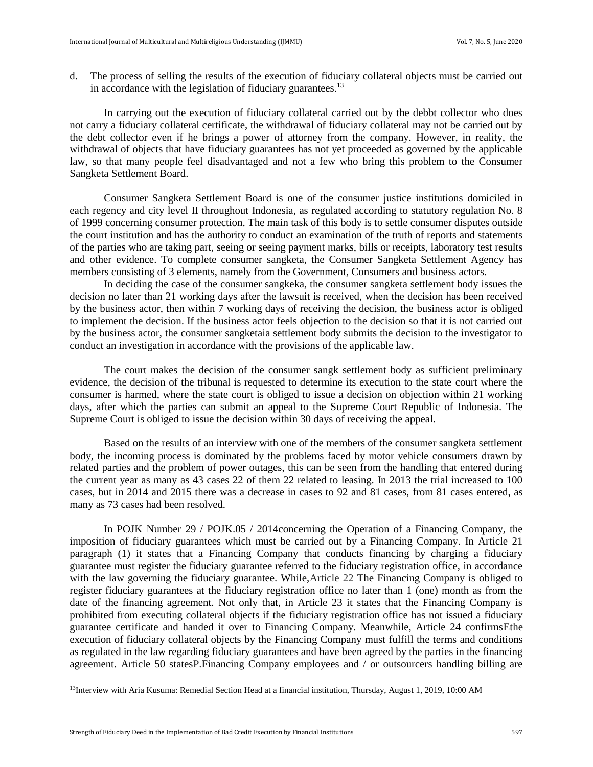d. The process of selling the results of the execution of fiduciary collateral objects must be carried out in accordance with the legislation of fiduciary guarantees. $^{13}$ 

In carrying out the execution of fiduciary collateral carried out by the debbt collector who does not carry a fiduciary collateral certificate, the withdrawal of fiduciary collateral may not be carried out by the debt collector even if he brings a power of attorney from the company. However, in reality, the withdrawal of objects that have fiduciary guarantees has not yet proceeded as governed by the applicable law, so that many people feel disadvantaged and not a few who bring this problem to the Consumer Sangketa Settlement Board.

Consumer Sangketa Settlement Board is one of the consumer justice institutions domiciled in each regency and city level II throughout Indonesia, as regulated according to statutory regulation No. 8 of 1999 concerning consumer protection. The main task of this body is to settle consumer disputes outside the court institution and has the authority to conduct an examination of the truth of reports and statements of the parties who are taking part, seeing or seeing payment marks, bills or receipts, laboratory test results and other evidence. To complete consumer sangketa, the Consumer Sangketa Settlement Agency has members consisting of 3 elements, namely from the Government, Consumers and business actors.

In deciding the case of the consumer sangkeka, the consumer sangketa settlement body issues the decision no later than 21 working days after the lawsuit is received, when the decision has been received by the business actor, then within 7 working days of receiving the decision, the business actor is obliged to implement the decision. If the business actor feels objection to the decision so that it is not carried out by the business actor, the consumer sangketaia settlement body submits the decision to the investigator to conduct an investigation in accordance with the provisions of the applicable law.

The court makes the decision of the consumer sangk settlement body as sufficient preliminary evidence, the decision of the tribunal is requested to determine its execution to the state court where the consumer is harmed, where the state court is obliged to issue a decision on objection within 21 working days, after which the parties can submit an appeal to the Supreme Court Republic of Indonesia. The Supreme Court is obliged to issue the decision within 30 days of receiving the appeal.

Based on the results of an interview with one of the members of the consumer sangketa settlement body, the incoming process is dominated by the problems faced by motor vehicle consumers drawn by related parties and the problem of power outages, this can be seen from the handling that entered during the current year as many as 43 cases 22 of them 22 related to leasing. In 2013 the trial increased to 100 cases, but in 2014 and 2015 there was a decrease in cases to 92 and 81 cases, from 81 cases entered, as many as 73 cases had been resolved.

In [POJK Number 29 / POJK.05 / 2014c](https://www.hukumonline.com/pusatdata/detail/lt5472fa07c4c3a/node/lt5178eb81911e9/peraturan-otoritas-jasa-keuangan-no-29_pojk.05_2014-tahun-2014-penyelenggaraan-usaha-perusahaan-pembiayaan)oncerning the Operation of a Financing Company, the imposition of fiduciary guarantees which must be carried out by a Financing Company. In Article 21 paragraph (1) it states that a Financing Company that conducts financing by charging a fiduciary guarantee must register the fiduciary guarantee referred to the fiduciary registration office, in accordance with the law governing the fiduciary guarantee. While,Article 22 The Financing Company is obliged to register fiduciary guarantees at the fiduciary registration office no later than 1 (one) month as from the date of the financing agreement. Not only that, in Article 23 it states that the Financing Company is prohibited from executing collateral objects if the fiduciary registration office has not issued a fiduciary guarantee certificate and handed it over to Financing Company. Meanwhile, Article 24 confirmsEthe execution of fiduciary collateral objects by the Financing Company must fulfill the terms and conditions as regulated in the law regarding fiduciary guarantees and have been agreed by the parties in the financing agreement. Article 50 statesP.Financing Company employees and / or outsourcers handling billing are

<sup>&</sup>lt;sup>13</sup>Interview with Aria Kusuma: Remedial Section Head at a financial institution, Thursday, August 1, 2019, 10:00 AM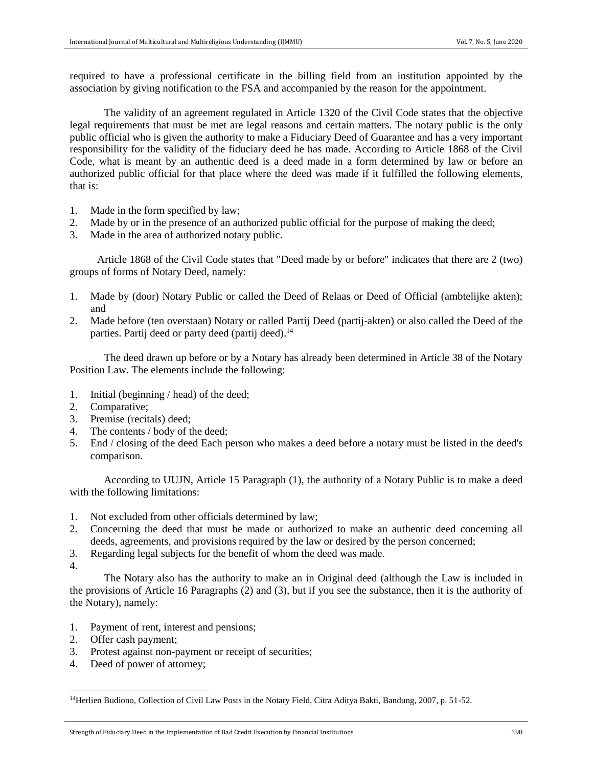required to have a professional certificate in the billing field from an institution appointed by the association by giving notification to the FSA and accompanied by the reason for the appointment.

The validity of an agreement regulated in Article 1320 of the Civil Code states that the objective legal requirements that must be met are legal reasons and certain matters. The notary public is the only public official who is given the authority to make a Fiduciary Deed of Guarantee and has a very important responsibility for the validity of the fiduciary deed he has made. According to Article 1868 of the Civil Code, what is meant by an authentic deed is a deed made in a form determined by law or before an authorized public official for that place where the deed was made if it fulfilled the following elements, that is:

- 1. Made in the form specified by law;
- 2. Made by or in the presence of an authorized public official for the purpose of making the deed;
- 3. Made in the area of authorized notary public.

Article 1868 of the Civil Code states that "Deed made by or before" indicates that there are 2 (two) groups of forms of Notary Deed, namely:

- 1. Made by (door) Notary Public or called the Deed of Relaas or Deed of Official (ambtelijke akten); and
- 2. Made before (ten overstaan) Notary or called Partij Deed (partij-akten) or also called the Deed of the parties. Partij deed or party deed (partij deed).<sup>14</sup>

The deed drawn up before or by a Notary has already been determined in Article 38 of the Notary Position Law. The elements include the following:

- 1. Initial (beginning / head) of the deed;
- 2. Comparative;
- 3. Premise (recitals) deed;
- 4. The contents / body of the deed;
- 5. End / closing of the deed Each person who makes a deed before a notary must be listed in the deed's comparison.

According to UUJN, Article 15 Paragraph (1), the authority of a Notary Public is to make a deed with the following limitations:

- 1. Not excluded from other officials determined by law;
- 2. Concerning the deed that must be made or authorized to make an authentic deed concerning all deeds, agreements, and provisions required by the law or desired by the person concerned;
- 3. Regarding legal subjects for the benefit of whom the deed was made.
- 4.

 $\overline{\phantom{a}}$ 

The Notary also has the authority to make an in Original deed (although the Law is included in the provisions of Article 16 Paragraphs (2) and (3), but if you see the substance, then it is the authority of the Notary), namely:

- 1. Payment of rent, interest and pensions;
- 2. Offer cash payment;
- 3. Protest against non-payment or receipt of securities;
- 4. Deed of power of attorney;

<sup>&</sup>lt;sup>14</sup>Herlien Budiono, Collection of Civil Law Posts in the Notary Field, Citra Aditya Bakti, Bandung, 2007, p. 51-52.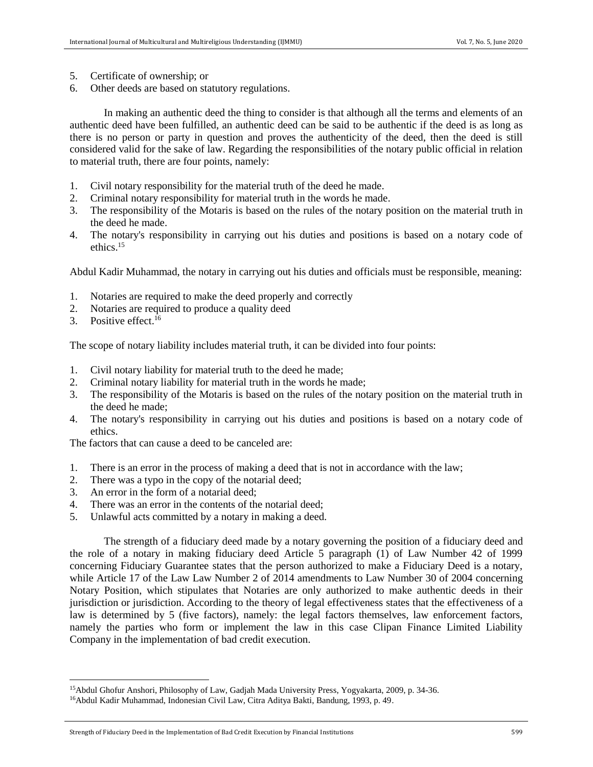- 5. Certificate of ownership; or
- 6. Other deeds are based on statutory regulations.

In making an authentic deed the thing to consider is that although all the terms and elements of an authentic deed have been fulfilled, an authentic deed can be said to be authentic if the deed is as long as there is no person or party in question and proves the authenticity of the deed, then the deed is still considered valid for the sake of law. Regarding the responsibilities of the notary public official in relation to material truth, there are four points, namely:

- 1. Civil notary responsibility for the material truth of the deed he made.
- 2. Criminal notary responsibility for material truth in the words he made.
- 3. The responsibility of the Motaris is based on the rules of the notary position on the material truth in the deed he made.
- 4. The notary's responsibility in carrying out his duties and positions is based on a notary code of ethics.<sup>15</sup>

Abdul Kadir Muhammad, the notary in carrying out his duties and officials must be responsible, meaning:

- 1. Notaries are required to make the deed properly and correctly
- 2. Notaries are required to produce a quality deed
- 3. Positive effect.<sup>16</sup>

 $\overline{a}$ 

The scope of notary liability includes material truth, it can be divided into four points:

- 1. Civil notary liability for material truth to the deed he made;
- 2. Criminal notary liability for material truth in the words he made;
- 3. The responsibility of the Motaris is based on the rules of the notary position on the material truth in the deed he made;
- 4. The notary's responsibility in carrying out his duties and positions is based on a notary code of ethics.

The factors that can cause a deed to be canceled are:

- 1. There is an error in the process of making a deed that is not in accordance with the law;
- 2. There was a typo in the copy of the notarial deed;
- 3. An error in the form of a notarial deed;
- 4. There was an error in the contents of the notarial deed;
- 5. Unlawful acts committed by a notary in making a deed.

The strength of a fiduciary deed made by a notary governing the position of a fiduciary deed and the role of a notary in making fiduciary deed Article 5 paragraph (1) of Law Number 42 of 1999 concerning Fiduciary Guarantee states that the person authorized to make a Fiduciary Deed is a notary, while Article 17 of the Law Law Number 2 of 2014 amendments to Law Number 30 of 2004 concerning Notary Position, which stipulates that Notaries are only authorized to make authentic deeds in their jurisdiction or jurisdiction. According to the theory of legal effectiveness states that the effectiveness of a law is determined by 5 (five factors), namely: the legal factors themselves, law enforcement factors, namely the parties who form or implement the law in this case Clipan Finance Limited Liability Company in the implementation of bad credit execution.

<sup>15</sup>Abdul Ghofur Anshori, Philosophy of Law, Gadjah Mada University Press, Yogyakarta, 2009, p. 34-36.

<sup>16</sup>Abdul Kadir Muhammad, Indonesian Civil Law, Citra Aditya Bakti, Bandung, 1993, p. 49.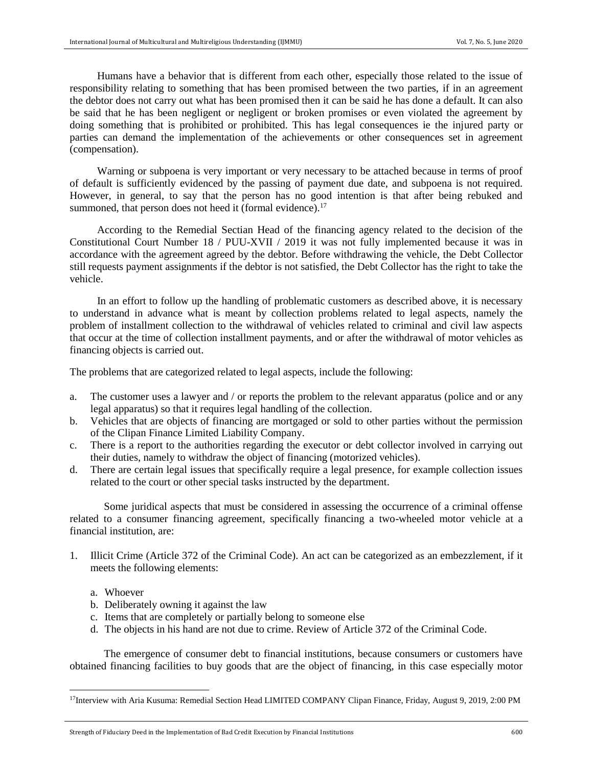Humans have a behavior that is different from each other, especially those related to the issue of responsibility relating to something that has been promised between the two parties, if in an agreement the debtor does not carry out what has been promised then it can be said he has done a default. It can also be said that he has been negligent or negligent or broken promises or even violated the agreement by doing something that is prohibited or prohibited. This has legal consequences ie the injured party or parties can demand the implementation of the achievements or other consequences set in agreement (compensation).

Warning or subpoena is very important or very necessary to be attached because in terms of proof of default is sufficiently evidenced by the passing of payment due date, and subpoena is not required. However, in general, to say that the person has no good intention is that after being rebuked and summoned, that person does not heed it (formal evidence).<sup>17</sup>

According to the Remedial Sectian Head of the financing agency related to the decision of the Constitutional Court Number 18 / PUU-XVII / 2019 it was not fully implemented because it was in accordance with the agreement agreed by the debtor. Before withdrawing the vehicle, the Debt Collector still requests payment assignments if the debtor is not satisfied, the Debt Collector has the right to take the vehicle.

In an effort to follow up the handling of problematic customers as described above, it is necessary to understand in advance what is meant by collection problems related to legal aspects, namely the problem of installment collection to the withdrawal of vehicles related to criminal and civil law aspects that occur at the time of collection installment payments, and or after the withdrawal of motor vehicles as financing objects is carried out.

The problems that are categorized related to legal aspects, include the following:

- a. The customer uses a lawyer and / or reports the problem to the relevant apparatus (police and or any legal apparatus) so that it requires legal handling of the collection.
- b. Vehicles that are objects of financing are mortgaged or sold to other parties without the permission of the Clipan Finance Limited Liability Company.
- c. There is a report to the authorities regarding the executor or debt collector involved in carrying out their duties, namely to withdraw the object of financing (motorized vehicles).
- d. There are certain legal issues that specifically require a legal presence, for example collection issues related to the court or other special tasks instructed by the department.

Some juridical aspects that must be considered in assessing the occurrence of a criminal offense related to a consumer financing agreement, specifically financing a two-wheeled motor vehicle at a financial institution, are:

- 1. Illicit Crime (Article 372 of the Criminal Code). An act can be categorized as an embezzlement, if it meets the following elements:
	- a. Whoever

 $\overline{\phantom{a}}$ 

- b. Deliberately owning it against the law
- c. Items that are completely or partially belong to someone else
- d. The objects in his hand are not due to crime. Review of Article 372 of the Criminal Code.

The emergence of consumer debt to financial institutions, because consumers or customers have obtained financing facilities to buy goods that are the object of financing, in this case especially motor

<sup>&</sup>lt;sup>17</sup>Interview with Aria Kusuma: Remedial Section Head LIMITED COMPANY Clipan Finance, Friday, August 9, 2019, 2:00 PM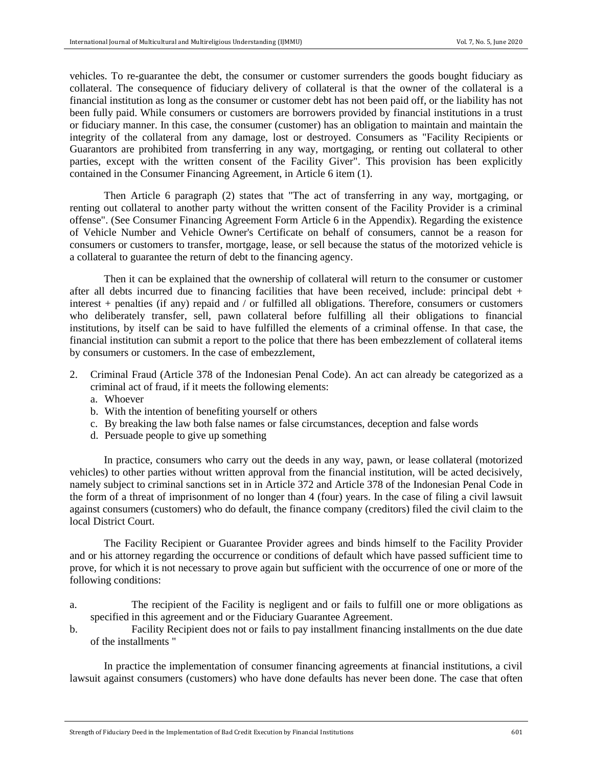vehicles. To re-guarantee the debt, the consumer or customer surrenders the goods bought fiduciary as collateral. The consequence of fiduciary delivery of collateral is that the owner of the collateral is a financial institution as long as the consumer or customer debt has not been paid off, or the liability has not been fully paid. While consumers or customers are borrowers provided by financial institutions in a trust or fiduciary manner. In this case, the consumer (customer) has an obligation to maintain and maintain the integrity of the collateral from any damage, lost or destroyed. Consumers as "Facility Recipients or Guarantors are prohibited from transferring in any way, mortgaging, or renting out collateral to other parties, except with the written consent of the Facility Giver". This provision has been explicitly contained in the Consumer Financing Agreement, in Article 6 item (1).

Then Article 6 paragraph (2) states that "The act of transferring in any way, mortgaging, or renting out collateral to another party without the written consent of the Facility Provider is a criminal offense". (See Consumer Financing Agreement Form Article 6 in the Appendix). Regarding the existence of Vehicle Number and Vehicle Owner's Certificate on behalf of consumers, cannot be a reason for consumers or customers to transfer, mortgage, lease, or sell because the status of the motorized vehicle is a collateral to guarantee the return of debt to the financing agency.

Then it can be explained that the ownership of collateral will return to the consumer or customer after all debts incurred due to financing facilities that have been received, include: principal debt + interest + penalties (if any) repaid and / or fulfilled all obligations. Therefore, consumers or customers who deliberately transfer, sell, pawn collateral before fulfilling all their obligations to financial institutions, by itself can be said to have fulfilled the elements of a criminal offense. In that case, the financial institution can submit a report to the police that there has been embezzlement of collateral items by consumers or customers. In the case of embezzlement,

- 2. Criminal Fraud (Article 378 of the Indonesian Penal Code). An act can already be categorized as a criminal act of fraud, if it meets the following elements:
	- a. Whoever
	- b. With the intention of benefiting yourself or others
	- c. By breaking the law both false names or false circumstances, deception and false words
	- d. Persuade people to give up something

In practice, consumers who carry out the deeds in any way, pawn, or lease collateral (motorized vehicles) to other parties without written approval from the financial institution, will be acted decisively, namely subject to criminal sanctions set in in Article 372 and Article 378 of the Indonesian Penal Code in the form of a threat of imprisonment of no longer than 4 (four) years. In the case of filing a civil lawsuit against consumers (customers) who do default, the finance company (creditors) filed the civil claim to the local District Court.

The Facility Recipient or Guarantee Provider agrees and binds himself to the Facility Provider and or his attorney regarding the occurrence or conditions of default which have passed sufficient time to prove, for which it is not necessary to prove again but sufficient with the occurrence of one or more of the following conditions:

- a. The recipient of the Facility is negligent and or fails to fulfill one or more obligations as specified in this agreement and or the Fiduciary Guarantee Agreement.
- b. Facility Recipient does not or fails to pay installment financing installments on the due date of the installments "

In practice the implementation of consumer financing agreements at financial institutions, a civil lawsuit against consumers (customers) who have done defaults has never been done. The case that often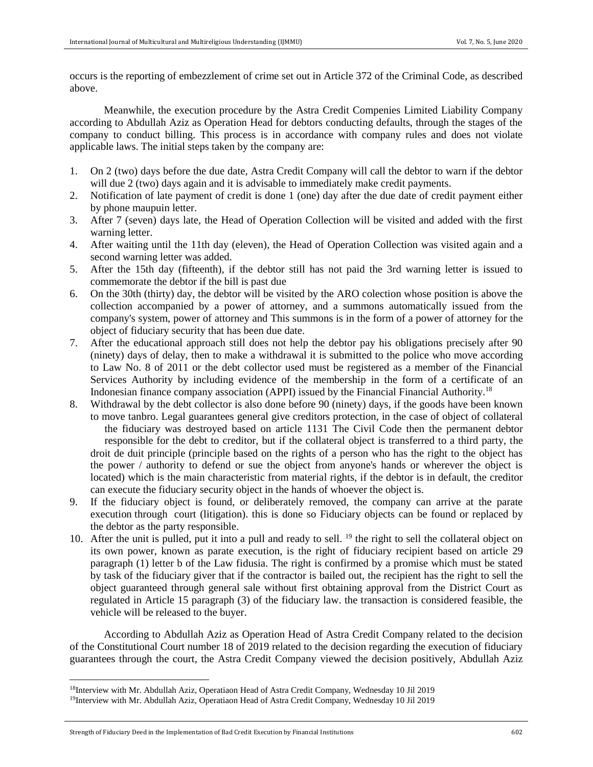occurs is the reporting of embezzlement of crime set out in Article 372 of the Criminal Code, as described above.

Meanwhile, the execution procedure by the Astra Credit Compenies Limited Liability Company according to Abdullah Aziz as Operation Head for debtors conducting defaults, through the stages of the company to conduct billing. This process is in accordance with company rules and does not violate applicable laws. The initial steps taken by the company are:

- 1. On 2 (two) days before the due date, Astra Credit Company will call the debtor to warn if the debtor will due 2 (two) days again and it is advisable to immediately make credit payments.
- 2. Notification of late payment of credit is done 1 (one) day after the due date of credit payment either by phone maupuin letter.
- 3. After 7 (seven) days late, the Head of Operation Collection will be visited and added with the first warning letter.
- 4. After waiting until the 11th day (eleven), the Head of Operation Collection was visited again and a second warning letter was added.
- 5. After the 15th day (fifteenth), if the debtor still has not paid the 3rd warning letter is issued to commemorate the debtor if the bill is past due
- 6. On the 30th (thirty) day, the debtor will be visited by the ARO colection whose position is above the collection accompanied by a power of attorney, and a summons automatically issued from the company's system, power of attorney and This summons is in the form of a power of attorney for the object of fiduciary security that has been due date.
- 7. After the educational approach still does not help the debtor pay his obligations precisely after 90 (ninety) days of delay, then to make a withdrawal it is submitted to the police who move according to Law No. 8 of 2011 or the debt collector used must be registered as a member of the Financial Services Authority by including evidence of the membership in the form of a certificate of an Indonesian finance company association (APPI) issued by the Financial Financial Authority.<sup>18</sup>
- 8. Withdrawal by the debt collector is also done before 90 (ninety) days, if the goods have been known to move tanbro. Legal guarantees general give creditors protection, in the case of object of collateral the fiduciary was destroyed based on article 1131 The Civil Code then the permanent debtor responsible for the debt to creditor, but if the collateral object is transferred to a third party, the droit de duit principle (principle based on the rights of a person who has the right to the object has the power / authority to defend or sue the object from anyone's hands or wherever the object is located) which is the main characteristic from material rights, if the debtor is in default, the creditor can execute the fiduciary security object in the hands of whoever the object is.
- 9. If the fiduciary object is found, or deliberately removed, the company can arrive at the parate execution through court (litigation). this is done so Fiduciary objects can be found or replaced by the debtor as the party responsible.
- 10. After the unit is pulled, put it into a pull and ready to sell. <sup>19</sup> the right to sell the collateral object on its own power, known as parate execution, is the right of fiduciary recipient based on article 29 paragraph (1) letter b of the Law fidusia. The right is confirmed by a promise which must be stated by task of the fiduciary giver that if the contractor is bailed out, the recipient has the right to sell the object guaranteed through general sale without first obtaining approval from the District Court as regulated in Article 15 paragraph (3) of the fiduciary law. the transaction is considered feasible, the vehicle will be released to the buyer.

According to Abdullah Aziz as Operation Head of Astra Credit Company related to the decision of the Constitutional Court number 18 of 2019 related to the decision regarding the execution of fiduciary guarantees through the court, the Astra Credit Company viewed the decision positively, Abdullah Aziz

<sup>18</sup>Interview with Mr. Abdullah Aziz, Operatiaon Head of Astra Credit Company, Wednesday 10 Jil 2019

<sup>19</sup>Interview with Mr. Abdullah Aziz, Operatiaon Head of Astra Credit Company, Wednesday 10 Jil 2019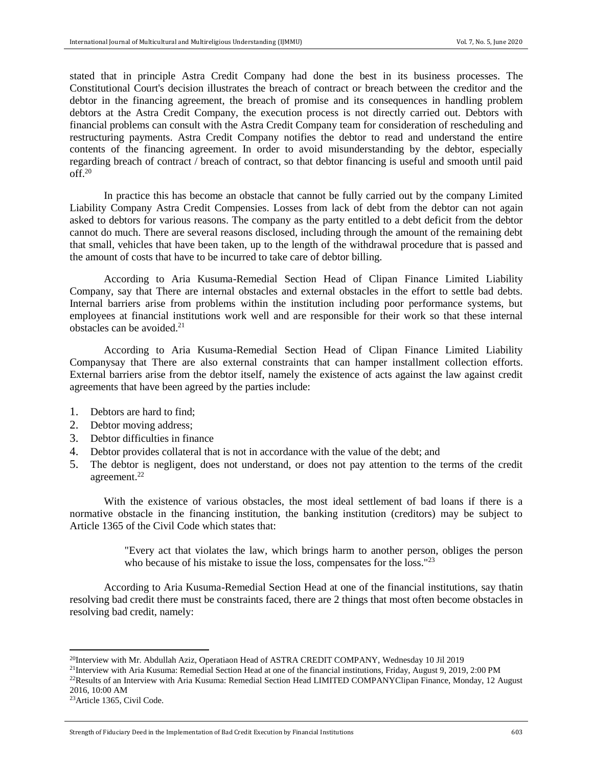stated that in principle Astra Credit Company had done the best in its business processes. The Constitutional Court's decision illustrates the breach of contract or breach between the creditor and the debtor in the financing agreement, the breach of promise and its consequences in handling problem debtors at the Astra Credit Company, the execution process is not directly carried out. Debtors with financial problems can consult with the Astra Credit Company team for consideration of rescheduling and restructuring payments. Astra Credit Company notifies the debtor to read and understand the entire contents of the financing agreement. In order to avoid misunderstanding by the debtor, especially regarding breach of contract / breach of contract, so that debtor financing is useful and smooth until paid  $\overline{\text{off.}}^{20}$ 

In practice this has become an obstacle that cannot be fully carried out by the company Limited Liability Company Astra Credit Compensies. Losses from lack of debt from the debtor can not again asked to debtors for various reasons. The company as the party entitled to a debt deficit from the debtor cannot do much. There are several reasons disclosed, including through the amount of the remaining debt that small, vehicles that have been taken, up to the length of the withdrawal procedure that is passed and the amount of costs that have to be incurred to take care of debtor billing.

According to Aria Kusuma-Remedial Section Head of Clipan Finance Limited Liability Company, say that There are internal obstacles and external obstacles in the effort to settle bad debts. Internal barriers arise from problems within the institution including poor performance systems, but employees at financial institutions work well and are responsible for their work so that these internal obstacles can be avoided  $2<sup>1</sup>$ 

According to Aria Kusuma-Remedial Section Head of Clipan Finance Limited Liability Companysay that There are also external constraints that can hamper installment collection efforts. External barriers arise from the debtor itself, namely the existence of acts against the law against credit agreements that have been agreed by the parties include:

- 1. Debtors are hard to find;
- 2. Debtor moving address;
- 3. Debtor difficulties in finance
- 4. Debtor provides collateral that is not in accordance with the value of the debt; and
- 5. The debtor is negligent, does not understand, or does not pay attention to the terms of the credit agreement.<sup>22</sup>

With the existence of various obstacles, the most ideal settlement of bad loans if there is a normative obstacle in the financing institution, the banking institution (creditors) may be subject to Article 1365 of the Civil Code which states that:

> "Every act that violates the law, which brings harm to another person, obliges the person who because of his mistake to issue the loss, compensates for the loss."<sup>23</sup>

According to Aria Kusuma-Remedial Section Head at one of the financial institutions, say thatin resolving bad credit there must be constraints faced, there are 2 things that most often become obstacles in resolving bad credit, namely:

<sup>&</sup>lt;sup>20</sup>Interview with Mr. Abdullah Aziz, Operatiaon Head of ASTRA CREDIT COMPANY, Wednesday 10 Jil 2019

<sup>21</sup>Interview with Aria Kusuma: Remedial Section Head at one of the financial institutions, Friday, August 9, 2019, 2:00 PM

<sup>&</sup>lt;sup>22</sup>Results of an Interview with Aria Kusuma: Remedial Section Head LIMITED COMPANYClipan Finance, Monday, 12 August 2016, 10:00 AM

<sup>23</sup>Article 1365, Civil Code.

Strength of Fiduciary Deed in the Implementation of Bad Credit Execution by Financial Institutions 603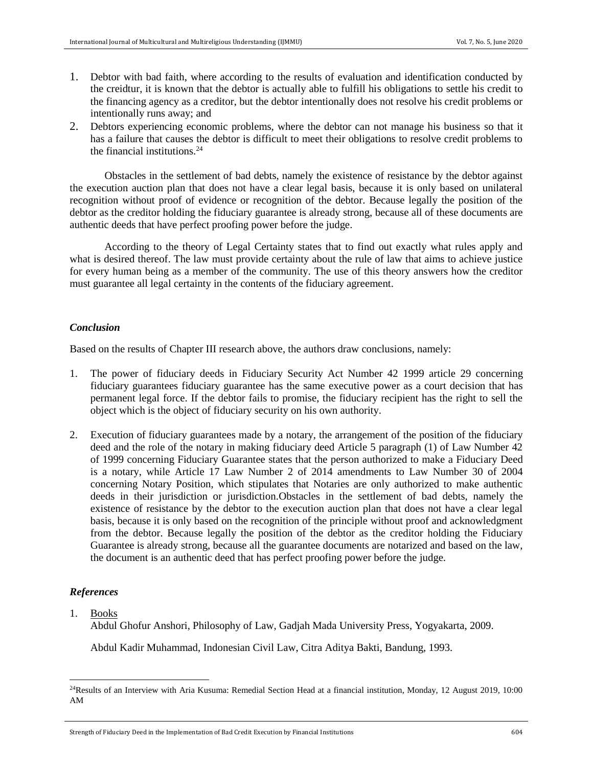- 1. Debtor with bad faith, where according to the results of evaluation and identification conducted by the creidtur, it is known that the debtor is actually able to fulfill his obligations to settle his credit to the financing agency as a creditor, but the debtor intentionally does not resolve his credit problems or intentionally runs away; and
- 2. Debtors experiencing economic problems, where the debtor can not manage his business so that it has a failure that causes the debtor is difficult to meet their obligations to resolve credit problems to the financial institutions. $24$

Obstacles in the settlement of bad debts, namely the existence of resistance by the debtor against the execution auction plan that does not have a clear legal basis, because it is only based on unilateral recognition without proof of evidence or recognition of the debtor. Because legally the position of the debtor as the creditor holding the fiduciary guarantee is already strong, because all of these documents are authentic deeds that have perfect proofing power before the judge.

According to the theory of Legal Certainty states that to find out exactly what rules apply and what is desired thereof. The law must provide certainty about the rule of law that aims to achieve justice for every human being as a member of the community. The use of this theory answers how the creditor must guarantee all legal certainty in the contents of the fiduciary agreement.

## *Conclusion*

Based on the results of Chapter III research above, the authors draw conclusions, namely:

- 1. The power of fiduciary deeds in Fiduciary Security Act Number 42 1999 article 29 concerning fiduciary guarantees fiduciary guarantee has the same executive power as a court decision that has permanent legal force. If the debtor fails to promise, the fiduciary recipient has the right to sell the object which is the object of fiduciary security on his own authority.
- 2. Execution of fiduciary guarantees made by a notary, the arrangement of the position of the fiduciary deed and the role of the notary in making fiduciary deed Article 5 paragraph (1) of Law Number 42 of 1999 concerning Fiduciary Guarantee states that the person authorized to make a Fiduciary Deed is a notary, while Article 17 Law Number 2 of 2014 amendments to Law Number 30 of 2004 concerning Notary Position, which stipulates that Notaries are only authorized to make authentic deeds in their jurisdiction or jurisdiction.Obstacles in the settlement of bad debts, namely the existence of resistance by the debtor to the execution auction plan that does not have a clear legal basis, because it is only based on the recognition of the principle without proof and acknowledgment from the debtor. Because legally the position of the debtor as the creditor holding the Fiduciary Guarantee is already strong, because all the guarantee documents are notarized and based on the law, the document is an authentic deed that has perfect proofing power before the judge.

# *References*

1. Books

 $\overline{a}$ 

Abdul Ghofur Anshori, Philosophy of Law, Gadjah Mada University Press, Yogyakarta, 2009.

Abdul Kadir Muhammad, Indonesian Civil Law, Citra Aditya Bakti, Bandung, 1993.

<sup>&</sup>lt;sup>24</sup>Results of an Interview with Aria Kusuma: Remedial Section Head at a financial institution, Monday, 12 August 2019, 10:00 AM